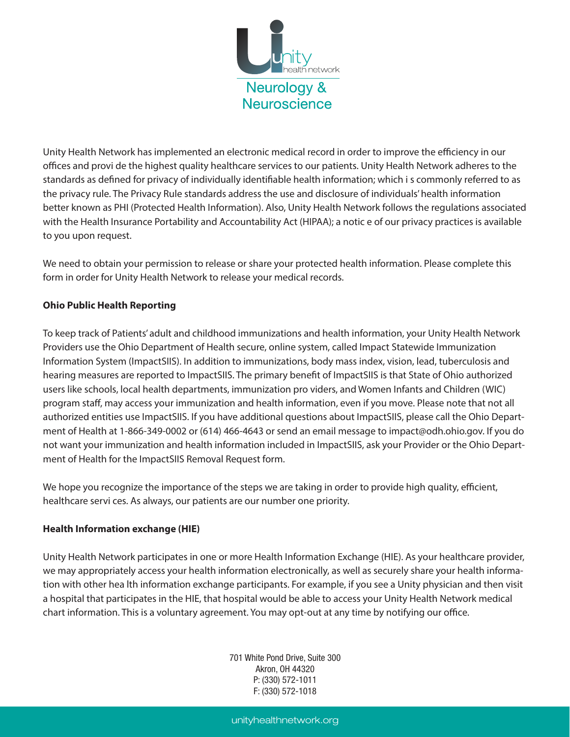

Unity Health Network has implemented an electronic medical record in order to improve the efficiency in our oces and provi de the highest quality healthcare services to our patients. Unity Health Network adheres to the standards as defined for privacy of individually identifiable health information; which i s commonly referred to as the privacy rule. The Privacy Rule standards address the use and disclosure of individuals' health information better known as PHI (Protected Health Information). Also, Unity Health Network follows the regulations associated with the Health Insurance Portability and Accountability Act (HIPAA); a notic e of our privacy practices is available to you upon request.

We need to obtain your permission to release or share your protected health information. Please complete this form in order for Unity Health Network to release your medical records.

## **Ohio Public Health Reporting**

To keep track of Patients' adult and childhood immunizations and health information, your Unity Health Network Providers use the Ohio Department of Health secure, online system, called Impact Statewide Immunization Information System (ImpactSIIS). In addition to immunizations, body mass index, vision, lead, tuberculosis and hearing measures are reported to ImpactSIIS. The primary benefit of ImpactSIIS is that State of Ohio authorized users like schools, local health departments, immunization pro viders, and Women Infants and Children (WIC) program staff, may access your immunization and health information, even if you move. Please note that not all authorized entities use ImpactSIIS. If you have additional questions about ImpactSIIS, please call the Ohio Department of Health at 1-866-349-0002 or (614) 466-4643 or send an email message to impact@odh.ohio.gov. If you do not want your immunization and health information included in ImpactSIIS, ask your Provider or the Ohio Department of Health for the ImpactSIIS Removal Request form.

We hope you recognize the importance of the steps we are taking in order to provide high quality, efficient, healthcare servi ces. As always, our patients are our number one priority.

## **Health Information exchange (HIE)**

Unity Health Network participates in one or more Health Information Exchange (HIE). As your healthcare provider, we may appropriately access your health information electronically, as well as securely share your health information with other hea lth information exchange participants. For example, if you see a Unity physician and then visit a hospital that participates in the HIE, that hospital would be able to access your Unity Health Network medical chart information. This is a voluntary agreement. You may opt-out at any time by notifying our office.

> 701 White Pond Drive, Suite 300 Akron, OH 44320 P: (330) 572-1011 F: (330) 572-1018